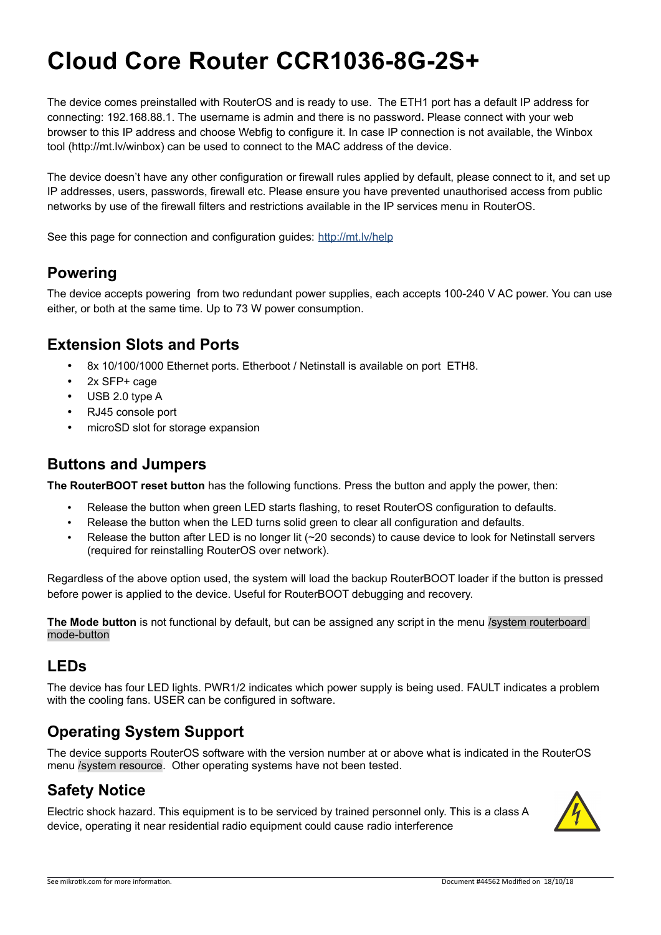# **Cloud Core Router CCR1036-8G-2S+**

The device comes preinstalled with RouterOS and is ready to use. The ETH1 port has a default IP address for connecting: 192.168.88.1. The username is admin and there is no password**.** Please connect with your web browser to this IP address and choose Webfig to configure it. In case IP connection is not available, the Winbox tool (http://mt.lv/winbox) can be used to connect to the MAC address of the device.

The device doesn't have any other configuration or firewall rules applied by default, please connect to it, and set up IP addresses, users, passwords, firewall etc. Please ensure you have prevented unauthorised access from public networks by use of the firewall filters and restrictions available in the IP services menu in RouterOS.

See this page for connection and configuration guides: http://mt.lv/help

### **Powering**

The device accepts powering from two redundant power supplies, each accepts 100-240 V AC power. You can use either, or both at the same time. Up to 73 W power consumption.

## **Extension Slots and Ports**

- 8x 10/100/1000 Ethernet ports. Etherboot / Netinstall is available on port ETH8.
- 2x SFP+ cage
- USB 2.0 type A
- RJ45 console port
- microSD slot for storage expansion

#### **Buttons and Jumpers**

**The RouterBOOT reset button** has the following functions. Press the button and apply the power, then:

- Release the button when green LED starts flashing, to reset RouterOS configuration to defaults.
- Release the button when the LED turns solid green to clear all configuration and defaults.
- Release the button after LED is no longer lit (~20 seconds) to cause device to look for Netinstall servers (required for reinstalling RouterOS over network).

Regardless of the above option used, the system will load the backup RouterBOOT loader if the button is pressed before power is applied to the device. Useful for RouterBOOT debugging and recovery.

**The Mode button** is not functional by default, but can be assigned any script in the menu /system routerboard mode-button

#### **LEDs**

The device has four LED lights. PWR1/2 indicates which power supply is being used. FAULT indicates a problem with the cooling fans. USER can be configured in software.

### **Operating System Support**

The device supports RouterOS software with the version number at or above what is indicated in the RouterOS menu /system resource. Other operating systems have not been tested.

### **Safety Notice**

Electric shock hazard. This equipment is to be serviced by trained personnel only. This is a class A device, operating it near residential radio equipment could cause radio interference